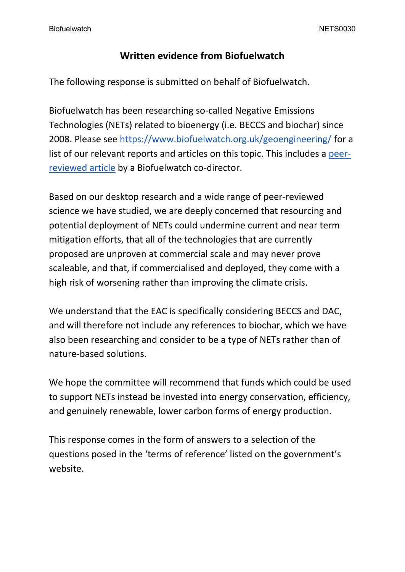### **Written evidence from Biofuelwatch**

The following response is submitted on behalf of Biofuelwatch.

Biofuelwatch has been researching so-called Negative Emissions Technologies (NETs) related to bioenergy (i.e. BECCS and biochar) since 2008. Please see <https://www.biofuelwatch.org.uk/geoengineering/> for a list of our relevant reports and articles on this topic. This includes a [peer](https://link.springer.com/article/10.1057/s41301-019-00213-4#citeas)[reviewed](https://link.springer.com/article/10.1057/s41301-019-00213-4#citeas) [article](https://link.springer.com/article/10.1057/s41301-019-00213-4#citeas) by a Biofuelwatch co-director.

Based on our desktop research and a wide range of peer-reviewed science we have studied, we are deeply concerned that resourcing and potential deployment of NETs could undermine current and near term mitigation efforts, that all of the technologies that are currently proposed are unproven at commercial scale and may never prove scaleable, and that, if commercialised and deployed, they come with a high risk of worsening rather than improving the climate crisis.

We understand that the EAC is specifically considering BECCS and DAC, and will therefore not include any references to biochar, which we have also been researching and consider to be a type of NETs rather than of nature-based solutions.

We hope the committee will recommend that funds which could be used to support NETs instead be invested into energy conservation, efficiency, and genuinely renewable, lower carbon forms of energy production.

This response comes in the form of answers to a selection of the questions posed in the 'terms of reference' listed on the government's website.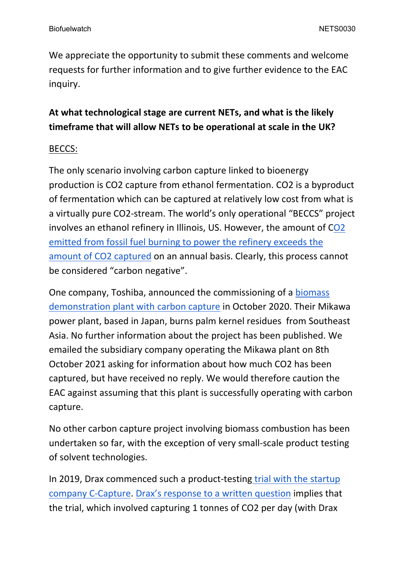We appreciate the opportunity to submit these comments and welcome requests for further information and to give further evidence to the EAC inquiry.

## **At what technological stage are current NETs, and what is the likely timeframe that will allow NETs to be operational at scale in the UK?**

#### BECCS:

The only scenario involving carbon capture linked to bioenergy production is CO2 capture from ethanol fermentation. CO2 is a byproduct of fermentation which can be captured at relatively low cost from what is a virtually pure CO2-stream. The world's only operational "BECCS" project involves an ethanol refinery in Illinois, US. However, the amount of C[O2](https://www.carbonbrief.org/analysis-negative-emissions-tested-worlds-first-major-beccs-facility) [emitted](https://www.carbonbrief.org/analysis-negative-emissions-tested-worlds-first-major-beccs-facility) [from](https://www.carbonbrief.org/analysis-negative-emissions-tested-worlds-first-major-beccs-facility) [fossil](https://www.carbonbrief.org/analysis-negative-emissions-tested-worlds-first-major-beccs-facility) [fuel](https://www.carbonbrief.org/analysis-negative-emissions-tested-worlds-first-major-beccs-facility) [burning](https://www.carbonbrief.org/analysis-negative-emissions-tested-worlds-first-major-beccs-facility) [to](https://www.carbonbrief.org/analysis-negative-emissions-tested-worlds-first-major-beccs-facility) [power](https://www.carbonbrief.org/analysis-negative-emissions-tested-worlds-first-major-beccs-facility) [the](https://www.carbonbrief.org/analysis-negative-emissions-tested-worlds-first-major-beccs-facility) [refinery](https://www.carbonbrief.org/analysis-negative-emissions-tested-worlds-first-major-beccs-facility) [exceeds](https://www.carbonbrief.org/analysis-negative-emissions-tested-worlds-first-major-beccs-facility) [the](https://www.carbonbrief.org/analysis-negative-emissions-tested-worlds-first-major-beccs-facility) [amount](https://www.carbonbrief.org/analysis-negative-emissions-tested-worlds-first-major-beccs-facility) [of](https://www.carbonbrief.org/analysis-negative-emissions-tested-worlds-first-major-beccs-facility) [CO2](https://www.carbonbrief.org/analysis-negative-emissions-tested-worlds-first-major-beccs-facility) [captured](https://www.carbonbrief.org/analysis-negative-emissions-tested-worlds-first-major-beccs-facility) on an annual basis. Clearly, this process cannot be considered "carbon negative".

One company, Toshiba, announced the commissioning of a [biomass](https://www.toshiba-energy.com/en/info/info2020_1031.htm) [demonstration](https://www.toshiba-energy.com/en/info/info2020_1031.htm) [plant](https://www.toshiba-energy.com/en/info/info2020_1031.htm) [with](https://www.toshiba-energy.com/en/info/info2020_1031.htm) [carbon](https://www.toshiba-energy.com/en/info/info2020_1031.htm) [capture](https://www.toshiba-energy.com/en/info/info2020_1031.htm) in October 2020. Their Mikawa power plant, based in Japan, burns palm kernel residues from Southeast Asia. No further information about the project has been published. We emailed the subsidiary company operating the Mikawa plant on 8th October 2021 asking for information about how much CO2 has been captured, but have received no reply. We would therefore caution the EAC against assuming that this plant is successfully operating with carbon capture.

No other carbon capture project involving biomass combustion has been undertaken so far, with the exception of very small-scale product testing of solvent technologies.

In 2019, Drax commenced such a product-testing [trial](https://www.power-technology.com/features/draxs-carbon-capture/) [with](https://www.power-technology.com/features/draxs-carbon-capture/) [the](https://www.power-technology.com/features/draxs-carbon-capture/) [startup](https://www.power-technology.com/features/draxs-carbon-capture/) [company](https://www.power-technology.com/features/draxs-carbon-capture/) [C-Capture.](https://www.power-technology.com/features/draxs-carbon-capture/) [Drax's](https://www.biofuelwatch.org.uk/2021/drax-beccs-response/) [response](https://www.biofuelwatch.org.uk/2021/drax-beccs-response/) [to](https://www.biofuelwatch.org.uk/2021/drax-beccs-response/) [a](https://www.biofuelwatch.org.uk/2021/drax-beccs-response/) [written](https://www.biofuelwatch.org.uk/2021/drax-beccs-response/) [question](https://www.biofuelwatch.org.uk/2021/drax-beccs-response/) implies that the trial, which involved capturing 1 tonnes of CO2 per day (with Drax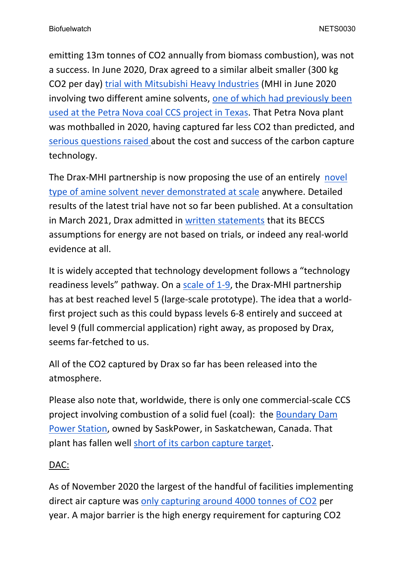emitting 13m tonnes of CO2 annually from biomass combustion), was not a success. In June 2020, Drax agreed to a similar albeit smaller (300 kg CO2 per day) [trial](https://theenergyst.com/drax-to-trial-mitsubishis-biomass-with-carbon-capture-tech/) [with](https://theenergyst.com/drax-to-trial-mitsubishis-biomass-with-carbon-capture-tech/) [Mitsubishi](https://theenergyst.com/drax-to-trial-mitsubishis-biomass-with-carbon-capture-tech/) [Heavy](https://theenergyst.com/drax-to-trial-mitsubishis-biomass-with-carbon-capture-tech/) [Industries](https://theenergyst.com/drax-to-trial-mitsubishis-biomass-with-carbon-capture-tech/) (MHI in June 2020 involving two different amine solvents, [one](https://www.mhi.com/news/200624.html) [of](https://www.mhi.com/news/200624.html) [which](https://www.mhi.com/news/200624.html) [had](https://www.mhi.com/news/200624.html) [previously](https://www.mhi.com/news/200624.html) [been](https://www.mhi.com/news/200624.html) [used](https://www.mhi.com/news/200624.html) [at](https://www.mhi.com/news/200624.html) [the](https://www.mhi.com/news/200624.html) [Petra](https://www.mhi.com/news/200624.html) [Nova](https://www.mhi.com/news/200624.html) [coal](https://www.mhi.com/news/200624.html) [CCS](https://www.mhi.com/news/200624.html) [project](https://www.mhi.com/news/200624.html) [in](https://www.mhi.com/news/200624.html) [Texas](https://www.mhi.com/news/200624.html). That Petra Nova plant was mothballed in 2020, having captured far less CO2 than predicted, and [serious](https://ieefa.org/wp-content/uploads/2020/08/Petra-Nova-Mothballing-Post-Mortem_August-2020.pdf) [questions](https://ieefa.org/wp-content/uploads/2020/08/Petra-Nova-Mothballing-Post-Mortem_August-2020.pdf) [raised](https://ieefa.org/wp-content/uploads/2020/08/Petra-Nova-Mothballing-Post-Mortem_August-2020.pdf) [a](https://ieefa.org/wp-content/uploads/2020/08/Petra-Nova-Mothballing-Post-Mortem_August-2020.pdf)bout the cost and success of the carbon capture technology.

The Drax-MHI partnership is now proposing the use of an entirely [novel](https://www.mhi.com/news/210610.html) [type](https://www.mhi.com/news/210610.html) [of](https://www.mhi.com/news/210610.html) [amine](https://www.mhi.com/news/210610.html) [solvent](https://www.mhi.com/news/210610.html) [never](https://www.mhi.com/news/210610.html) [demonstrated](https://www.mhi.com/news/210610.html) [at](https://www.mhi.com/news/210610.html) [scale](https://www.mhi.com/news/210610.html) anywhere. Detailed results of the latest trial have not so far been published. At a consultation in March 2021, Drax admitted in [written](https://www.biofuelwatch.org.uk/2021/drax-beccs-response/) [statements](https://www.biofuelwatch.org.uk/2021/drax-beccs-response/) that its BECCS assumptions for energy are not based on trials, or indeed any real-world evidence at all.

It is widely accepted that technology development follows a "technology readiness levels" pathway. On a [scale](https://www.cloudwatchhub.eu/exploitation/brief-refresher-technology-readiness-levels-trl) [of](https://www.cloudwatchhub.eu/exploitation/brief-refresher-technology-readiness-levels-trl) [1-9,](https://www.cloudwatchhub.eu/exploitation/brief-refresher-technology-readiness-levels-trl) the Drax-MHI partnership has at best reached level 5 (large-scale prototype). The idea that a worldfirst project such as this could bypass levels 6-8 entirely and succeed at level 9 (full commercial application) right away, as proposed by Drax, seems far-fetched to us.

All of the CO2 captured by Drax so far has been released into the atmosphere.

Please also note that, worldwide, there is only one commercial-scale CCS project involving combustion of a solid fuel (coal): the [Boundary](https://ieefa.org/ieefa-saskpower-hits-carbon-capture-goals-at-boundary-dam-3-more-than-two-years-late/) [Dam](https://ieefa.org/ieefa-saskpower-hits-carbon-capture-goals-at-boundary-dam-3-more-than-two-years-late/) [Power](https://ieefa.org/ieefa-saskpower-hits-carbon-capture-goals-at-boundary-dam-3-more-than-two-years-late/) [Station,](https://ieefa.org/ieefa-saskpower-hits-carbon-capture-goals-at-boundary-dam-3-more-than-two-years-late/) owned by SaskPower, in Saskatchewan, Canada. That plant has fallen well [short](http://ieefa.org/wp-content/uploads/2021/04/Boundary-Dam-3-Coal-Plant-Achieves-CO2-Capture-Goal-Two-Years-Late_April-2021.pdf) [of](http://ieefa.org/wp-content/uploads/2021/04/Boundary-Dam-3-Coal-Plant-Achieves-CO2-Capture-Goal-Two-Years-Late_April-2021.pdf) [its](http://ieefa.org/wp-content/uploads/2021/04/Boundary-Dam-3-Coal-Plant-Achieves-CO2-Capture-Goal-Two-Years-Late_April-2021.pdf) [carbon](http://ieefa.org/wp-content/uploads/2021/04/Boundary-Dam-3-Coal-Plant-Achieves-CO2-Capture-Goal-Two-Years-Late_April-2021.pdf) [capture](http://ieefa.org/wp-content/uploads/2021/04/Boundary-Dam-3-Coal-Plant-Achieves-CO2-Capture-Goal-Two-Years-Late_April-2021.pdf) [target.](http://ieefa.org/wp-content/uploads/2021/04/Boundary-Dam-3-Coal-Plant-Achieves-CO2-Capture-Goal-Two-Years-Late_April-2021.pdf)

### DAC:

As of November 2020 the largest of the handful of facilities implementing direct air capture was [only](https://theecologist.org/2020/nov/13/carbon-dioxide-removal-sucks) [capturing](https://theecologist.org/2020/nov/13/carbon-dioxide-removal-sucks) [around](https://theecologist.org/2020/nov/13/carbon-dioxide-removal-sucks) [4000](https://theecologist.org/2020/nov/13/carbon-dioxide-removal-sucks) [tonnes](https://theecologist.org/2020/nov/13/carbon-dioxide-removal-sucks) [of](https://theecologist.org/2020/nov/13/carbon-dioxide-removal-sucks) [CO2](https://theecologist.org/2020/nov/13/carbon-dioxide-removal-sucks) per year. A major barrier is the high energy requirement for capturing CO2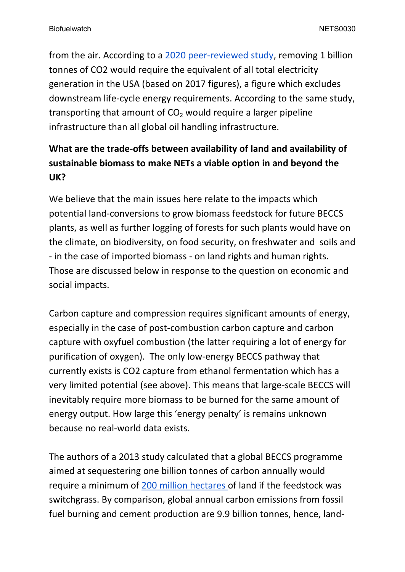from the air. According to a [2020](https://link.springer.com/article/10.1007/s41247-020-00080-5#Sec7) [peer-reviewed](https://link.springer.com/article/10.1007/s41247-020-00080-5#Sec7) [study,](https://link.springer.com/article/10.1007/s41247-020-00080-5#Sec7) removing 1 billion tonnes of CO2 would require the equivalent of all total electricity generation in the USA (based on 2017 figures), a figure which excludes downstream life-cycle energy requirements. According to the same study, transporting that amount of  $CO<sub>2</sub>$  would require a larger pipeline infrastructure than all global oil handling infrastructure.

# **What are the trade-offs between availability of land and availability of sustainable biomass to make NETs a viable option in and beyond the UK?**

We believe that the main issues here relate to the impacts which potential land-conversions to grow biomass feedstock for future BECCS plants, as well as further logging of forests for such plants would have on the climate, on biodiversity, on food security, on freshwater and soils and - in the case of imported biomass - on land rights and human rights. Those are discussed below in response to the question on economic and social impacts.

Carbon capture and compression requires significant amounts of energy, especially in the case of post-combustion carbon capture and carbon capture with oxyfuel combustion (the latter requiring a lot of energy for purification of oxygen). The only low-energy BECCS pathway that currently exists is CO2 capture from ethanol fermentation which has a very limited potential (see above). This means that large-scale BECCS will inevitably require more biomass to be burned for the same amount of energy output. How large this 'energy penalty' is remains unknown because no real-world data exists.

The authors of a 2013 study calculated that a global BECCS programme aimed at sequestering one billion tonnes of carbon annually would require a minimum of [200](https://link.springer.com/content/pdf/10.1007%2Fs10584-012-0682-3.pdf) [million](https://link.springer.com/content/pdf/10.1007%2Fs10584-012-0682-3.pdf) [hectares](https://link.springer.com/content/pdf/10.1007%2Fs10584-012-0682-3.pdf) of land if the feedstock was switchgrass. By comparison, global annual carbon emissions from fossil fuel burning and cement production are 9.9 billion tonnes, hence, land-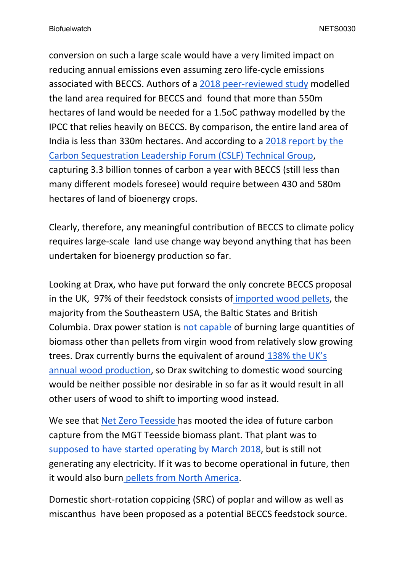conversion on such a large scale would have a very limited impact on reducing annual emissions even assuming zero life-cycle emissions associated with BECCS. Authors of a [2018](https://www.nature.com/articles/s41467-018-05340-z#Tab1) [peer-reviewed](https://www.nature.com/articles/s41467-018-05340-z#Tab1) [study](https://www.nature.com/articles/s41467-018-05340-z#Tab1) modelled the land area required for BECCS and found that more than 550m hectares of land would be needed for a 1.5oC pathway modelled by the IPCC that relies heavily on BECCS. By comparison, the entire land area of India is less than 330m hectares. And according to a [2018](https://www.cslforum.org/cslf/sites/default/files/documents/Publications/BECCS_Task_Force_Report_2018-04-04.pdf) [report](https://www.cslforum.org/cslf/sites/default/files/documents/Publications/BECCS_Task_Force_Report_2018-04-04.pdf) [by](https://www.cslforum.org/cslf/sites/default/files/documents/Publications/BECCS_Task_Force_Report_2018-04-04.pdf) [the](https://www.cslforum.org/cslf/sites/default/files/documents/Publications/BECCS_Task_Force_Report_2018-04-04.pdf) [Carbon](https://www.cslforum.org/cslf/sites/default/files/documents/Publications/BECCS_Task_Force_Report_2018-04-04.pdf) [Sequestration](https://www.cslforum.org/cslf/sites/default/files/documents/Publications/BECCS_Task_Force_Report_2018-04-04.pdf) [Leadership](https://www.cslforum.org/cslf/sites/default/files/documents/Publications/BECCS_Task_Force_Report_2018-04-04.pdf) [Forum](https://www.cslforum.org/cslf/sites/default/files/documents/Publications/BECCS_Task_Force_Report_2018-04-04.pdf) [\(CSLF\)](https://www.cslforum.org/cslf/sites/default/files/documents/Publications/BECCS_Task_Force_Report_2018-04-04.pdf) [Technical](https://www.cslforum.org/cslf/sites/default/files/documents/Publications/BECCS_Task_Force_Report_2018-04-04.pdf) [Group,](https://www.cslforum.org/cslf/sites/default/files/documents/Publications/BECCS_Task_Force_Report_2018-04-04.pdf) capturing 3.3 billion tonnes of carbon a year with BECCS (still less than many different models foresee) would require between 430 and 580m hectares of land of bioenergy crops.

Clearly, therefore, any meaningful contribution of BECCS to climate policy requires large-scale land use change way beyond anything that has been undertaken for bioenergy production so far.

Looking at Drax, who have put forward the only concrete BECCS proposal in the UK, 97% of their feedstock consists of [imported](https://www.drax.com/wp-content/uploads/2021/03/Drax_AR2020.pdf) [wood](https://www.drax.com/wp-content/uploads/2021/03/Drax_AR2020.pdf) [pellets,](https://www.drax.com/wp-content/uploads/2021/03/Drax_AR2020.pdf) the majority from the Southeastern USA, the Baltic States and British Columbia. Drax power station i[s](http://biofuelwatch.org.uk/docs/DECC%20FoI%20EIR%2013-0340%20Q1%20Documents%20Drax%20etc%209May%202013.pdf) [not](http://biofuelwatch.org.uk/docs/DECC%20FoI%20EIR%2013-0340%20Q1%20Documents%20Drax%20etc%209May%202013.pdf) [capable](http://biofuelwatch.org.uk/docs/DECC%20FoI%20EIR%2013-0340%20Q1%20Documents%20Drax%20etc%209May%202013.pdf) of burning large quantities of biomass other than pellets from virgin wood from relatively slow growing trees. Drax currently burns the equivalent of around [138%](https://www.biofuelwatch.org.uk/axedrax-campaign/) [the](https://www.biofuelwatch.org.uk/axedrax-campaign/) [UK's](https://www.biofuelwatch.org.uk/axedrax-campaign/) [annual](https://www.biofuelwatch.org.uk/axedrax-campaign/) [wood](https://www.biofuelwatch.org.uk/axedrax-campaign/) [production,](https://www.biofuelwatch.org.uk/axedrax-campaign/) so Drax switching to domestic wood sourcing would be neither possible nor desirable in so far as it would result in all other users of wood to shift to importing wood instead.

We see that [Net](https://www.netzeroteesside.co.uk/) [Zero](https://www.netzeroteesside.co.uk/) [Teesside](https://www.netzeroteesside.co.uk/) [h](https://www.netzeroteesside.co.uk/)as mooted the idea of future carbon capture from the MGT Teesside biomass plant. That plant was to [supposed](https://www.lowcarboncontracts.uk/cfds/teesside-renewable-energy-project) [to](https://www.lowcarboncontracts.uk/cfds/teesside-renewable-energy-project) [have](https://www.lowcarboncontracts.uk/cfds/teesside-renewable-energy-project) [started](https://www.lowcarboncontracts.uk/cfds/teesside-renewable-energy-project) [operating](https://www.lowcarboncontracts.uk/cfds/teesside-renewable-energy-project) [by](https://www.lowcarboncontracts.uk/cfds/teesside-renewable-energy-project) [March](https://www.lowcarboncontracts.uk/cfds/teesside-renewable-energy-project) [2018,](https://www.lowcarboncontracts.uk/cfds/teesside-renewable-energy-project) but is still not generating any electricity. If it was to become operational in future, then it would also burn [pellets](https://energynews.us/2019/10/29/with-looming-loss-of-european-subsidy-wood-pellet-industry-faces-turning-point/) [from](https://energynews.us/2019/10/29/with-looming-loss-of-european-subsidy-wood-pellet-industry-faces-turning-point/) [North](https://energynews.us/2019/10/29/with-looming-loss-of-european-subsidy-wood-pellet-industry-faces-turning-point/) [America.](https://energynews.us/2019/10/29/with-looming-loss-of-european-subsidy-wood-pellet-industry-faces-turning-point/)

Domestic short-rotation coppicing (SRC) of poplar and willow as well as miscanthus have been proposed as a potential BECCS feedstock source.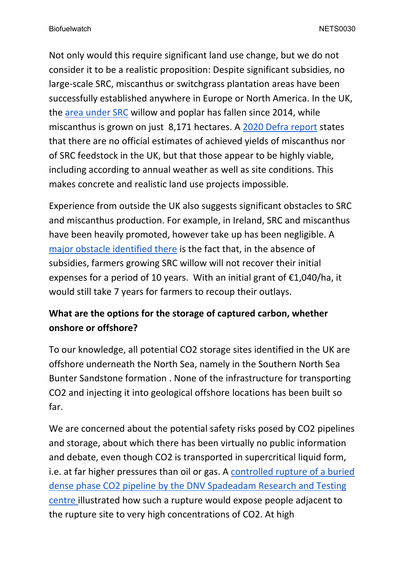Not only would this require significant land use change, but we do not consider it to be a realistic proposition: Despite significant subsidies, no large-scale SRC, miscanthus or switchgrass plantation areas have been successfully established anywhere in Europe or North America. In the UK, the [area](https://assets.publishing.service.gov.uk/government/uploads/system/uploads/attachment_data/file/943264/nonfood-statsnotice2019-10dec20v3.pdf) [under](https://assets.publishing.service.gov.uk/government/uploads/system/uploads/attachment_data/file/943264/nonfood-statsnotice2019-10dec20v3.pdf) [SRC](https://assets.publishing.service.gov.uk/government/uploads/system/uploads/attachment_data/file/943264/nonfood-statsnotice2019-10dec20v3.pdf) willow and poplar has fallen since 2014, while miscanthus is grown on just 8,171 hectares. A [2020](https://assets.publishing.service.gov.uk/government/uploads/system/uploads/attachment_data/file/943264/nonfood-statsnotice2019-10dec20v3.pdf) [Defra](https://assets.publishing.service.gov.uk/government/uploads/system/uploads/attachment_data/file/943264/nonfood-statsnotice2019-10dec20v3.pdf) [report](https://assets.publishing.service.gov.uk/government/uploads/system/uploads/attachment_data/file/943264/nonfood-statsnotice2019-10dec20v3.pdf) states that there are no official estimates of achieved yields of miscanthus nor of SRC feedstock in the UK, but that those appear to be highly viable, including according to annual weather as well as site conditions. This makes concrete and realistic land use projects impossible.

Experience from outside the UK also suggests significant obstacles to SRC and miscanthus production. For example, in Ireland, SRC and miscanthus have been heavily promoted, however take up has been negligible. A [major](https://www.agriland.ie/farming-news/would-spring-barley-growers-be-better-off-growing-willow/) [obstacle](https://www.agriland.ie/farming-news/would-spring-barley-growers-be-better-off-growing-willow/) [identified](https://www.agriland.ie/farming-news/would-spring-barley-growers-be-better-off-growing-willow/) [there](https://www.agriland.ie/farming-news/would-spring-barley-growers-be-better-off-growing-willow/) is the fact that, in the absence of subsidies, farmers growing SRC willow will not recover their initial expenses for a period of 10 years. With an initial grant of  $\epsilon$ 1,040/ha, it would still take 7 years for farmers to recoup their outlays.

## **What are the options for the storage of captured carbon, whether onshore or offshore?**

To our knowledge, all potential CO2 storage sites identified in the UK are offshore underneath the North Sea, namely in the Southern North Sea Bunter Sandstone formation . None of the infrastructure for transporting CO2 and injecting it into geological offshore locations has been built so far.

We are concerned about the potential safety risks posed by CO2 pipelines and storage, about which there has been virtually no public information and debate, even though CO2 is transported in supercritical liquid form, i.e. at far higher pressures than oil or gas. A [controlled](https://www.dnv.com/oilgas/laboratories-test-sites/dense-phase-spadeadam-video.html#) [rupture](https://www.dnv.com/oilgas/laboratories-test-sites/dense-phase-spadeadam-video.html#) [of](https://www.dnv.com/oilgas/laboratories-test-sites/dense-phase-spadeadam-video.html#) [a](https://www.dnv.com/oilgas/laboratories-test-sites/dense-phase-spadeadam-video.html#) [buried](https://www.dnv.com/oilgas/laboratories-test-sites/dense-phase-spadeadam-video.html#) [dense](https://www.dnv.com/oilgas/laboratories-test-sites/dense-phase-spadeadam-video.html#) [phase](https://www.dnv.com/oilgas/laboratories-test-sites/dense-phase-spadeadam-video.html#) [CO2](https://www.dnv.com/oilgas/laboratories-test-sites/dense-phase-spadeadam-video.html#) [pipeline](https://www.dnv.com/oilgas/laboratories-test-sites/dense-phase-spadeadam-video.html#) [by](https://www.dnv.com/oilgas/laboratories-test-sites/dense-phase-spadeadam-video.html#) [the](https://www.dnv.com/oilgas/laboratories-test-sites/dense-phase-spadeadam-video.html#) [DNV](https://www.dnv.com/oilgas/laboratories-test-sites/dense-phase-spadeadam-video.html#) [Spadeadam](https://www.dnv.com/oilgas/laboratories-test-sites/dense-phase-spadeadam-video.html#) [Research](https://www.dnv.com/oilgas/laboratories-test-sites/dense-phase-spadeadam-video.html#) [and](https://www.dnv.com/oilgas/laboratories-test-sites/dense-phase-spadeadam-video.html#) [Testing](https://www.dnv.com/oilgas/laboratories-test-sites/dense-phase-spadeadam-video.html#) [centre](https://www.dnv.com/oilgas/laboratories-test-sites/dense-phase-spadeadam-video.html#) illustrated how such a rupture would expose people adjacent to the rupture site to very high concentrations of CO2. At high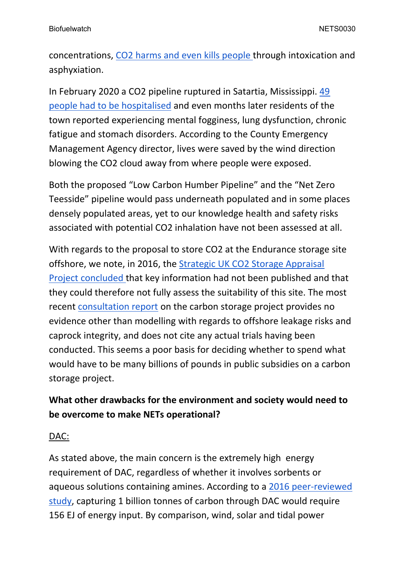concentrations, [CO2](https://www.ncbi.nlm.nih.gov/pmc/articles/PMC5380556/) [harms](https://www.ncbi.nlm.nih.gov/pmc/articles/PMC5380556/) [and](https://www.ncbi.nlm.nih.gov/pmc/articles/PMC5380556/) [even](https://www.ncbi.nlm.nih.gov/pmc/articles/PMC5380556/) [kills](https://www.ncbi.nlm.nih.gov/pmc/articles/PMC5380556/) [people](https://www.ncbi.nlm.nih.gov/pmc/articles/PMC5380556/) through intoxication and asphyxiation.

In February 2020 a CO2 pipeline ruptured in Satartia, Mississippi. [49](https://www.huffingtonpost.co.uk/entry/gassing-satartia-mississippi-co2-pipeline_n_60ddea9fe4b0ddef8b0ddc8f) [people](https://www.huffingtonpost.co.uk/entry/gassing-satartia-mississippi-co2-pipeline_n_60ddea9fe4b0ddef8b0ddc8f) [had](https://www.huffingtonpost.co.uk/entry/gassing-satartia-mississippi-co2-pipeline_n_60ddea9fe4b0ddef8b0ddc8f) [to](https://www.huffingtonpost.co.uk/entry/gassing-satartia-mississippi-co2-pipeline_n_60ddea9fe4b0ddef8b0ddc8f) [be](https://www.huffingtonpost.co.uk/entry/gassing-satartia-mississippi-co2-pipeline_n_60ddea9fe4b0ddef8b0ddc8f) [hospitalised](https://www.huffingtonpost.co.uk/entry/gassing-satartia-mississippi-co2-pipeline_n_60ddea9fe4b0ddef8b0ddc8f) and even months later residents of the town reported experiencing mental fogginess, lung dysfunction, chronic fatigue and stomach disorders. According to the County Emergency Management Agency director, lives were saved by the wind direction blowing the CO2 cloud away from where people were exposed.

Both the proposed "Low Carbon Humber Pipeline" and the "Net Zero Teesside" pipeline would pass underneath populated and in some places densely populated areas, yet to our knowledge health and safety risks associated with potential CO2 inhalation have not been assessed at all.

With regards to the proposal to store CO2 at the Endurance storage site offshore, we note, in 2016, the [Strategic](https://s3-eu-west-1.amazonaws.com/assets.eti.co.uk/legacyUploads/2016/04/D16-10113ETIS-WP6-Report-Publishable-Summary.pdf) [UK](https://s3-eu-west-1.amazonaws.com/assets.eti.co.uk/legacyUploads/2016/04/D16-10113ETIS-WP6-Report-Publishable-Summary.pdf) [CO2](https://s3-eu-west-1.amazonaws.com/assets.eti.co.uk/legacyUploads/2016/04/D16-10113ETIS-WP6-Report-Publishable-Summary.pdf) [Storage](https://s3-eu-west-1.amazonaws.com/assets.eti.co.uk/legacyUploads/2016/04/D16-10113ETIS-WP6-Report-Publishable-Summary.pdf) [Appraisal](https://s3-eu-west-1.amazonaws.com/assets.eti.co.uk/legacyUploads/2016/04/D16-10113ETIS-WP6-Report-Publishable-Summary.pdf) [Project](https://s3-eu-west-1.amazonaws.com/assets.eti.co.uk/legacyUploads/2016/04/D16-10113ETIS-WP6-Report-Publishable-Summary.pdf) [concluded](https://s3-eu-west-1.amazonaws.com/assets.eti.co.uk/legacyUploads/2016/04/D16-10113ETIS-WP6-Report-Publishable-Summary.pdf) that key information had not been published and that they could therefore not fully assess the suitability of this site. The most recent [consultation](https://eastcoastcluster.co.uk/wp-content/themes/nep/report.pdf) [report](https://eastcoastcluster.co.uk/wp-content/themes/nep/report.pdf) on the carbon storage project provides no evidence other than modelling with regards to offshore leakage risks and caprock integrity, and does not cite any actual trials having been conducted. This seems a poor basis for deciding whether to spend what would have to be many billions of pounds in public subsidies on a carbon storage project.

### **What other drawbacks for the environment and society would need to be overcome to make NETs operational?**

#### DAC:

As stated above, the main concern is the extremely high energy requirement of DAC, regardless of whether it involves sorbents or aqueous solutions containing amines. According to a [2016](https://core.ac.uk/download/pdf/77052341.pdf) [peer-reviewed](https://core.ac.uk/download/pdf/77052341.pdf) [study](https://core.ac.uk/download/pdf/77052341.pdf), capturing 1 billion tonnes of carbon through DAC would require 156 EJ of energy input. By comparison, wind, solar and tidal power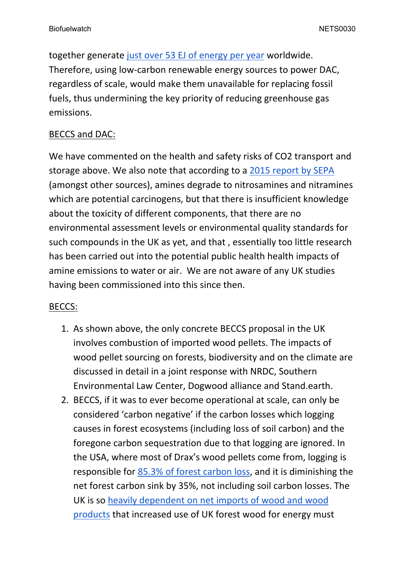together generate [just](https://www.iea.org/reports/renewables-information-overview/supply) [over](https://www.iea.org/reports/renewables-information-overview/supply) [53](https://www.iea.org/reports/renewables-information-overview/supply) [EJ](https://www.iea.org/reports/renewables-information-overview/supply) [of](https://www.iea.org/reports/renewables-information-overview/supply) [energy](https://www.iea.org/reports/renewables-information-overview/supply) [per](https://www.iea.org/reports/renewables-information-overview/supply) [year](https://www.iea.org/reports/renewables-information-overview/supply) worldwide. Therefore, using low-carbon renewable energy sources to power DAC, regardless of scale, would make them unavailable for replacing fossil fuels, thus undermining the key priority of reducing greenhouse gas emissions.

#### BECCS and DAC:

We have commented on the health and safety risks of CO2 transport and storage above. We also note that according to a [2015](https://www.sepa.org.uk/media/155585/review-of-amine-emissions-from-carbon-capture-systems.pdf) [report](https://www.sepa.org.uk/media/155585/review-of-amine-emissions-from-carbon-capture-systems.pdf) [by](https://www.sepa.org.uk/media/155585/review-of-amine-emissions-from-carbon-capture-systems.pdf) [SEPA](https://www.sepa.org.uk/media/155585/review-of-amine-emissions-from-carbon-capture-systems.pdf) (amongst other sources), amines degrade to nitrosamines and nitramines which are potential carcinogens, but that there is insufficient knowledge about the toxicity of different components, that there are no environmental assessment levels or environmental quality standards for such compounds in the UK as yet, and that , essentially too little research has been carried out into the potential public health health impacts of amine emissions to water or air. We are not aware of any UK studies having been commissioned into this since then.

### BECCS:

- 1. As shown above, the only concrete BECCS proposal in the UK involves combustion of imported wood pellets. The impacts of wood pellet sourcing on forests, biodiversity and on the climate are discussed in detail in a joint response with NRDC, Southern Environmental Law Center, Dogwood alliance and Stand.earth.
- 2. BECCS, if it was to ever become operational at scale, can only be considered 'carbon negative' if the carbon losses which logging causes in forest ecosystems (including loss of soil carbon) and the foregone carbon sequestration due to that logging are ignored. In the USA, where most of Drax's wood pellets come from, logging is responsible for [85.3%](https://www.dogwoodalliance.org/wp-content/uploads/2017/03/The-Great-American-Stand-Report.pdf) [of](https://www.dogwoodalliance.org/wp-content/uploads/2017/03/The-Great-American-Stand-Report.pdf) [forest](https://www.dogwoodalliance.org/wp-content/uploads/2017/03/The-Great-American-Stand-Report.pdf) [carbon](https://www.dogwoodalliance.org/wp-content/uploads/2017/03/The-Great-American-Stand-Report.pdf) [loss,](https://www.dogwoodalliance.org/wp-content/uploads/2017/03/The-Great-American-Stand-Report.pdf) and it is diminishing the net forest carbon sink by 35%, not including soil carbon losses. The UK is so [heavily](https://www.forestresearch.gov.uk/documents/8141/Ch3_Trade_FS2021.pdf) [dependent](https://www.forestresearch.gov.uk/documents/8141/Ch3_Trade_FS2021.pdf) [on](https://www.forestresearch.gov.uk/documents/8141/Ch3_Trade_FS2021.pdf) [net](https://www.forestresearch.gov.uk/documents/8141/Ch3_Trade_FS2021.pdf) [imports](https://www.forestresearch.gov.uk/documents/8141/Ch3_Trade_FS2021.pdf) [of](https://www.forestresearch.gov.uk/documents/8141/Ch3_Trade_FS2021.pdf) [wood](https://www.forestresearch.gov.uk/documents/8141/Ch3_Trade_FS2021.pdf) [and](https://www.forestresearch.gov.uk/documents/8141/Ch3_Trade_FS2021.pdf) [wood](https://www.forestresearch.gov.uk/documents/8141/Ch3_Trade_FS2021.pdf) [products](https://www.forestresearch.gov.uk/documents/8141/Ch3_Trade_FS2021.pdf) that increased use of UK forest wood for energy must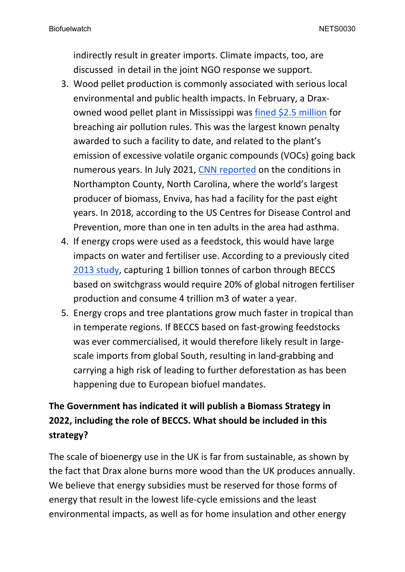indirectly result in greater imports. Climate impacts, too, are discussed in detail in the joint NGO response we support.

- 3. Wood pellet production is commonly associated with serious local environmental and public health impacts. In February, a Draxowned wood pellet plant in Mississippi was [fined](https://www.dogwoodalliance.org/2021/02/release-drax-facility-fined-2-5m-for-major-pollution-violations/) [\\$2.5](https://www.dogwoodalliance.org/2021/02/release-drax-facility-fined-2-5m-for-major-pollution-violations/) [million](https://www.dogwoodalliance.org/2021/02/release-drax-facility-fined-2-5m-for-major-pollution-violations/) for breaching air pollution rules. This was the largest known penalty awarded to such a facility to date, and related to the plant's emission of excessive volatile organic compounds (VOCs) going back numerous years. In July 2021, [CNN](https://edition.cnn.com/interactive/2021/07/us/american-south-biomass-energy-invs/) [reported](https://edition.cnn.com/interactive/2021/07/us/american-south-biomass-energy-invs/) on the conditions in Northampton County, North Carolina, where the world's largest producer of biomass, Enviva, has had a facility for the past eight years. In 2018, according to the US Centres for Disease Control and Prevention, more than one in ten adults in the area had asthma.
- 4. If energy crops were used as a feedstock, this would have large impacts on water and fertiliser use. According to a previously cited [2013](https://link.springer.com/content/pdf/10.1007%2Fs10584-012-0682-3.pdf) [study](https://link.springer.com/content/pdf/10.1007%2Fs10584-012-0682-3.pdf), capturing 1 billion tonnes of carbon through BECCS based on switchgrass would require 20% of global nitrogen fertiliser production and consume 4 trillion m3 of water a year.
- 5. Energy crops and tree plantations grow much faster in tropical than in temperate regions. If BECCS based on fast-growing feedstocks was ever commercialised, it would therefore likely result in largescale imports from global South, resulting in land-grabbing and carrying a high risk of leading to further deforestation as has been happening due to European biofuel mandates.

## **The Government has indicated it will publish a Biomass Strategy in 2022, including the role of BECCS. What should be included in this strategy?**

The scale of bioenergy use in the UK is far from sustainable, as shown by the fact that Drax alone burns more wood than the UK produces annually. We believe that energy subsidies must be reserved for those forms of energy that result in the lowest life-cycle emissions and the least environmental impacts, as well as for home insulation and other energy